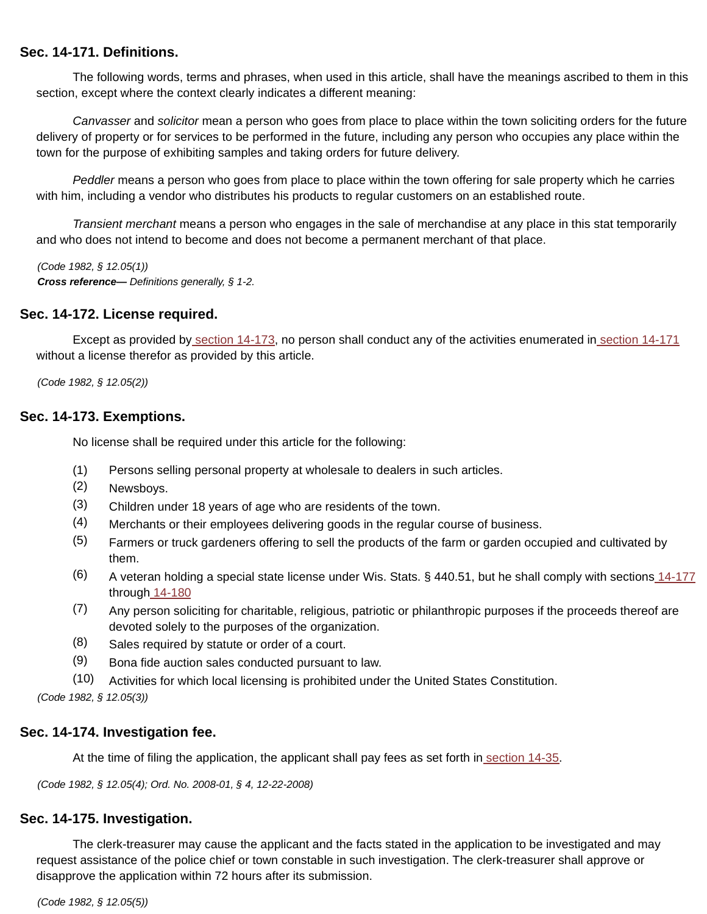### **Sec. 14-171. Definitions.**

The following words, terms and phrases, when used in this article, shall have the meanings ascribed to them in this section, except where the context clearly indicates a different meaning:

Canvasser and solicitor mean a person who goes from place to place within the town soliciting orders for the future delivery of property or for services to be performed in the future, including any person who occupies any place within the town for the purpose of exhibiting samples and taking orders for future delivery.

Peddler means a person who goes from place to place within the town offering for sale property which he carries with him, including a vendor who distributes his products to regular customers on an established route.

Transient merchant means a person who engages in the sale of merchandise at any place in this stat temporarily and who does not intend to become and does not become a permanent merchant of that place.

(Code 1982, § 12.05(1)) **Cross reference—** Definitions generally, § 1-2.

### **Sec. 14-172. License required.**

Except as provided by section 14-173, no person shall conduct any of the activities enumerated in section 14-171 without a license therefor as provided by this article.

(Code 1982, § 12.05(2))

#### **Sec. 14-173. Exemptions.**

No license shall be required under this article for the following:

- (1) Persons selling personal property at wholesale to dealers in such articles.
- (2) Newsboys.
- (3) Children under 18 years of age who are residents of the town.
- (4) Merchants or their employees delivering goods in the regular course of business.
- (5) Farmers or truck gardeners offering to sell the products of the farm or garden occupied and cultivated by them.
- (6) A veteran holding a special state license under Wis. Stats. § 440.51, but he shall comply with sections 14-177 through 14-180
- (7) Any person soliciting for charitable, religious, patriotic or philanthropic purposes if the proceeds thereof are devoted solely to the purposes of the organization.
- (8) Sales required by statute or order of a court.
- (9) Bona fide auction sales conducted pursuant to law.
- (10) Activities for which local licensing is prohibited under the United States Constitution.

(Code 1982, § 12.05(3))

### **Sec. 14-174. Investigation fee.**

At the time of filing the application, the applicant shall pay fees as set forth in section 14-35.

(Code 1982, § 12.05(4); Ord. No. 2008-01, § 4, 12-22-2008)

### **Sec. 14-175. Investigation.**

The clerk-treasurer may cause the applicant and the facts stated in the application to be investigated and may request assistance of the police chief or town constable in such investigation. The clerk-treasurer shall approve or disapprove the application within 72 hours after its submission.

(Code 1982, § 12.05(5))